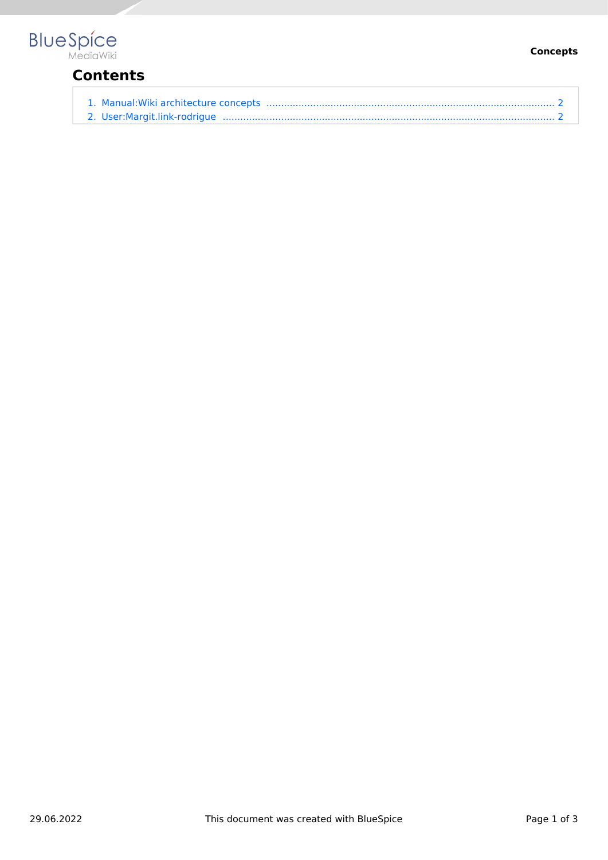# **BlueSpice**

## **Contents**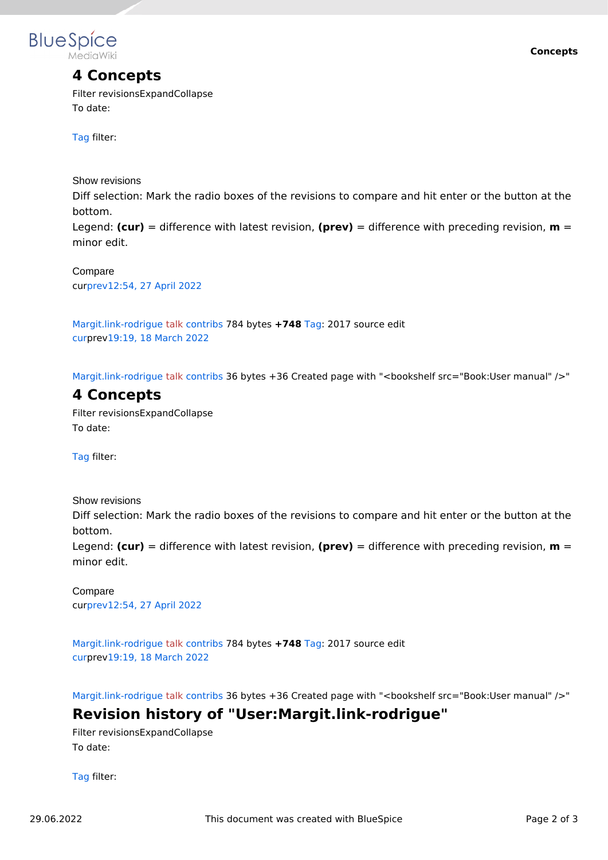

### **4 Concepts**

Filter revisionsExpandCollapse To date:

[Tag](https://en.wiki.bluespice.com/wiki/Special:Tags) filter:

Show revisions

Diff selection: Mark the radio boxes of the revisions to compare and hit enter or the button at the bottom.

Legend: **(cur)** = difference with latest revision, **(prev)** = difference with preceding revision, **m** = minor edit.

cu[rprev12:54, 27 April 2022](#page-1-0) Compare

[Margit.link-rodrigue](#page-1-1) [talk](https://en.wiki.bluespice.com/w/index.php?title=User_talk:Margit.link-rodrigue&action=view) [contribs](https://en.wiki.bluespice.com/wiki/Special:Contributions/Margit.link-rodrigue) 784 bytes **+748** [Tag](https://en.wiki.bluespice.com/wiki/Special:Tags): 2017 source edit [cur](#page-1-0)prev[19:19, 18 March 2022](#page-1-0)

[Margit.link-rodrigue](#page-1-1) [talk](https://en.wiki.bluespice.com/w/index.php?title=User_talk:Margit.link-rodrigue&action=view) [contribs](https://en.wiki.bluespice.com/wiki/Special:Contributions/Margit.link-rodrigue) 36 bytes +36 Created page with "<br/>bookshelf src="Book:User manual" />"

#### <span id="page-1-0"></span>**4 Concepts**

Filter revisionsExpandCollapse To date:

[Tag](https://en.wiki.bluespice.com/wiki/Special:Tags) filter:

Show revisions Diff selection: Mark the radio boxes of the revisions to compare and hit enter or the button at the bottom. Legend: **(cur)** = difference with latest revision, **(prev)** = difference with preceding revision, **m** = minor edit.

cu[rprev12:54, 27 April 2022](#page-1-0) Compare

[Margit.link-rodrigue](#page-1-1) [talk](https://en.wiki.bluespice.com/w/index.php?title=User_talk:Margit.link-rodrigue&action=view) [contribs](https://en.wiki.bluespice.com/wiki/Special:Contributions/Margit.link-rodrigue) 784 bytes **+748** [Tag](https://en.wiki.bluespice.com/wiki/Special:Tags): 2017 source edit [cur](#page-1-0)prev[19:19, 18 March 2022](#page-1-0)

[Margit.link-rodrigue](#page-1-1) [talk](https://en.wiki.bluespice.com/w/index.php?title=User_talk:Margit.link-rodrigue&action=view) [contribs](https://en.wiki.bluespice.com/wiki/Special:Contributions/Margit.link-rodrigue) 36 bytes +36 Created page with "<br/>bookshelf src="Book:User manual" />"

#### <span id="page-1-1"></span>**Revision history of "User:Margit.link-rodrigue"**

Filter revisionsExpandCollapse To date:

[Tag](https://en.wiki.bluespice.com/wiki/Special:Tags) filter: